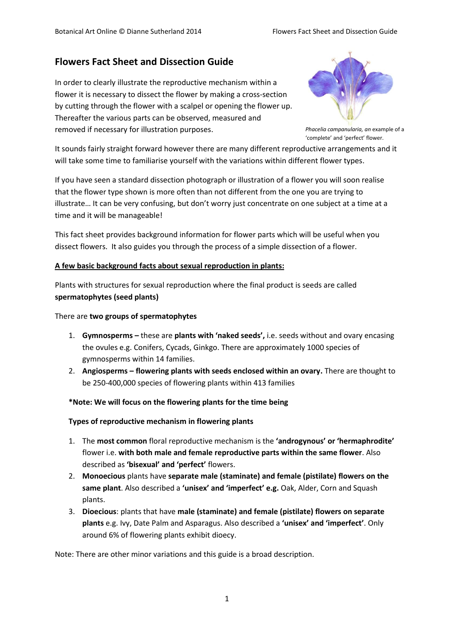# **Flowers Fact Sheet and Dissection Guide**

In order to clearly illustrate the reproductive mechanism within a flower it is necessary to dissect the flower by making a cross-section by cutting through the flower with a scalpel or opening the flower up. Thereafter the various parts can be observed, measured and removed if necessary for illustration purposes.



*Phacelia campanularia, an* example of a 'complete' and 'perfect' flower.

It sounds fairly straight forward however there are many different reproductive arrangements and it will take some time to familiarise yourself with the variations within different flower types.

If you have seen a standard dissection photograph or illustration of a flower you will soon realise that the flower type shown is more often than not different from the one you are trying to illustrate… It can be very confusing, but don't worry just concentrate on one subject at a time at a time and it will be manageable!

This fact sheet provides background information for flower parts which will be useful when you dissect flowers. It also guides you through the process of a simple dissection of a flower.

### **A few basic background facts about sexual reproduction in plants:**

Plants with structures for sexual reproduction where the final product is seeds are called **spermatophytes (seed plants)**

### There are **two groups of spermatophytes**

- 1. **Gymnosperms –** these are **plants with 'naked seeds',** i.e. seeds without and ovary encasing the ovules e.g. Conifers, Cycads, Ginkgo. There are approximately 1000 species of gymnosperms within 14 families.
- 2. **Angiosperms – flowering plants with seeds enclosed within an ovary.** There are thought to be 250-400,000 species of flowering plants within 413 families

#### **\*Note: We will focus on the flowering plants for the time being**

#### **Types of reproductive mechanism in flowering plants**

- 1. The **most common** floral reproductive mechanism is the **'androgynous' or 'hermaphrodite'** flower i.e. **with both male and female reproductive parts within the same flower**. Also described as **'bisexual' and 'perfect'** flowers.
- 2. **Monoecious** plants have **separate male (staminate) and female (pistilate) flowers on the same plant**. Also described a **'unisex' and 'imperfect' e.g.** Oak, Alder, Corn and Squash plants.
- 3. **Dioecious**: plants that have **male (staminate) and female (pistilate) flowers on separate plants** e.g. Ivy, Date Palm and Asparagus. Also described a **'unisex' and 'imperfect'**. Only around 6% of flowering plants exhibit dioecy.

Note: There are other minor variations and this guide is a broad description.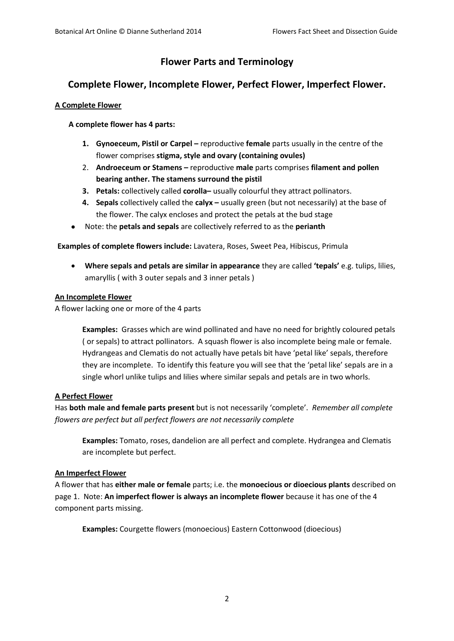# **Flower Parts and Terminology**

## **Complete Flower, Incomplete Flower, Perfect Flower, Imperfect Flower.**

## **A Complete Flower**

## **A complete flower has 4 parts:**

- **1. Gynoeceum, Pistil or Carpel –** reproductive **female** parts usually in the centre of the flower comprises **stigma, style and ovary (containing ovules)**
- 2. **Androeceum or Stamens –** reproductive **male** parts comprises **filament and pollen bearing anther. The stamens surround the pistil**
- **3. Petals:** collectively called **corolla–** usually colourful they attract pollinators.
- **4. Sepals** collectively called the **calyx –** usually green (but not necessarily) at the base of the flower. The calyx encloses and protect the petals at the bud stage
- Note: the **petals and sepals** are collectively referred to as the **perianth**

**Examples of complete flowers include:** Lavatera, Roses, Sweet Pea, Hibiscus, Primula

 **Where sepals and petals are similar in appearance** they are called **'tepals'** e.g. tulips, lilies, amaryllis ( with 3 outer sepals and 3 inner petals )

### **An Incomplete Flower**

A flower lacking one or more of the 4 parts

**Examples:** Grasses which are wind pollinated and have no need for brightly coloured petals ( or sepals) to attract pollinators. A squash flower is also incomplete being male or female. Hydrangeas and Clematis do not actually have petals bit have 'petal like' sepals, therefore they are incomplete. To identify this feature you will see that the 'petal like' sepals are in a single whorl unlike tulips and lilies where similar sepals and petals are in two whorls.

## **A Perfect Flower**

Has **both male and female parts present** but is not necessarily 'complete'. *Remember all complete flowers are perfect but all perfect flowers are not necessarily complete*

**Examples:** Tomato, roses, dandelion are all perfect and complete. Hydrangea and Clematis are incomplete but perfect.

### **An Imperfect Flower**

A flower that has **either male or female** parts; i.e. the **monoecious or dioecious plants** described on page 1. Note: **An imperfect flower is always an incomplete flower** because it has one of the 4 component parts missing.

**Examples:** Courgette flowers (monoecious) Eastern Cottonwood (dioecious)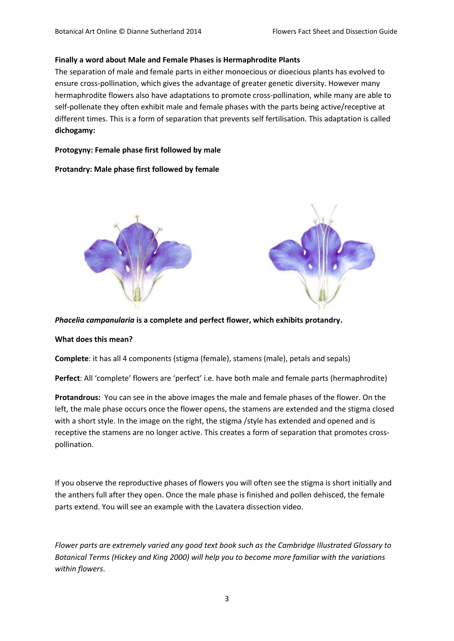#### **Finally a word about Male and Female Phases is Hermaphrodite Plants**

The separation of male and female parts in either monoecious or dioecious plants has evolved to ensure cross-pollination, which gives the advantage of greater genetic diversity. However many hermaphrodite flowers also have adaptations to promote cross-pollination, while many are able to self-pollenate they often exhibit male and female phases with the parts being active/receptive at different times. This is a form of separation that prevents self fertilisation. This adaptation is called **dichogamy:** 

#### **Protogyny: Female phase first followed by male**

#### **Protandry: Male phase first followed by female**



*Phacelia campanularia* **is a complete and perfect flower, which exhibits protandry.**

#### **What does this mean?**

**Complete**: it has all 4 components (stigma (female), stamens (male), petals and sepals)

**Perfect**: All 'complete' flowers are 'perfect' i.e. have both male and female parts (hermaphrodite)

**Protandrous:** You can see in the above images the male and female phases of the flower. On the left, the male phase occurs once the flower opens, the stamens are extended and the stigma closed with a short style. In the image on the right, the stigma /style has extended and opened and is receptive the stamens are no longer active. This creates a form of separation that promotes crosspollination.

If you observe the reproductive phases of flowers you will often see the stigma is short initially and the anthers full after they open. Once the male phase is finished and pollen dehisced, the female parts extend. You will see an example with the Lavatera dissection video.

*Flower parts are extremely varied any good text book such as the Cambridge Illustrated Glossary to Botanical Terms (Hickey and King 2000) will help you to become more familiar with the variations within flowers*.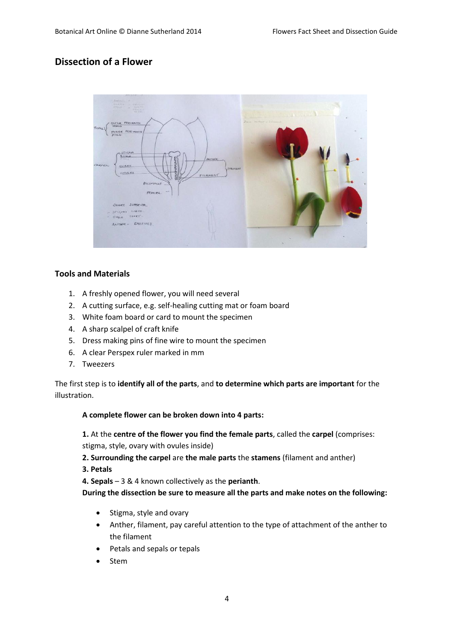# **Dissection of a Flower**



## **Tools and Materials**

- 1. A freshly opened flower, you will need several
- 2. A cutting surface, e.g. self-healing cutting mat or foam board
- 3. White foam board or card to mount the specimen
- 4. A sharp scalpel of craft knife
- 5. Dress making pins of fine wire to mount the specimen
- 6. A clear Perspex ruler marked in mm
- 7. Tweezers

The first step is to **identify all of the parts**, and **to determine which parts are important** for the illustration.

**A complete flower can be broken down into 4 parts:**

**1.** At the **centre of the flower you find the female parts**, called the **carpel** (comprises:

stigma, style, ovary with ovules inside)

- **2. Surrounding the carpel** are **the male parts** the **stamens** (filament and anther)
- **3. Petals**

**4. Sepals** – 3 & 4 known collectively as the **perianth**.

**During the dissection be sure to measure all the parts and make notes on the following:**

- Stigma, style and ovary
- Anther, filament, pay careful attention to the type of attachment of the anther to the filament
- Petals and sepals or tepals
- Stem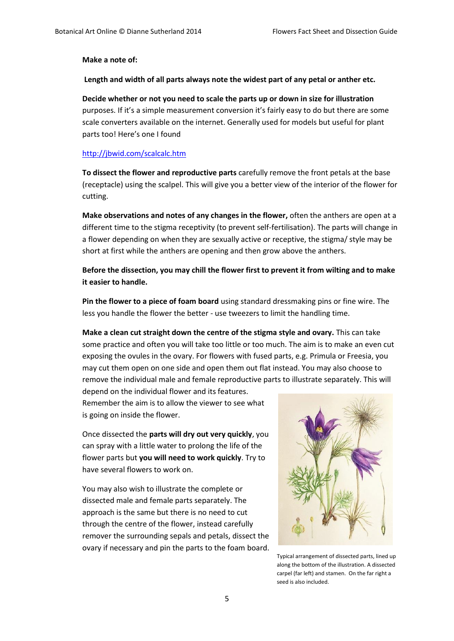#### **Make a note of:**

**Length and width of all parts always note the widest part of any petal or anther etc.**

**Decide whether or not you need to scale the parts up or down in size for illustration**  purposes. If it's a simple measurement conversion it's fairly easy to do but there are some scale converters available on the internet. Generally used for models but useful for plant parts too! Here's one I found

#### <http://jbwid.com/scalcalc.htm>

**To dissect the flower and reproductive parts** carefully remove the front petals at the base (receptacle) using the scalpel. This will give you a better view of the interior of the flower for cutting.

**Make observations and notes of any changes in the flower,** often the anthers are open at a different time to the stigma receptivity (to prevent self-fertilisation). The parts will change in a flower depending on when they are sexually active or receptive, the stigma/ style may be short at first while the anthers are opening and then grow above the anthers.

**Before the dissection, you may chill the flower first to prevent it from wilting and to make it easier to handle.** 

**Pin the flower to a piece of foam board** using standard dressmaking pins or fine wire. The less you handle the flower the better - use tweezers to limit the handling time.

**Make a clean cut straight down the centre of the stigma style and ovary.** This can take some practice and often you will take too little or too much. The aim is to make an even cut exposing the ovules in the ovary. For flowers with fused parts, e.g. Primula or Freesia, you may cut them open on one side and open them out flat instead. You may also choose to remove the individual male and female reproductive parts to illustrate separately. This will

depend on the individual flower and its features. Remember the aim is to allow the viewer to see what is going on inside the flower.

Once dissected the **parts will dry out very quickly**, you can spray with a little water to prolong the life of the flower parts but **you will need to work quickly**. Try to have several flowers to work on.

You may also wish to illustrate the complete or dissected male and female parts separately. The approach is the same but there is no need to cut through the centre of the flower, instead carefully remover the surrounding sepals and petals, dissect the ovary if necessary and pin the parts to the foam board.



Typical arrangement of dissected parts, lined up along the bottom of the illustration. A dissected carpel (far left) and stamen. On the far right a seed is also included.